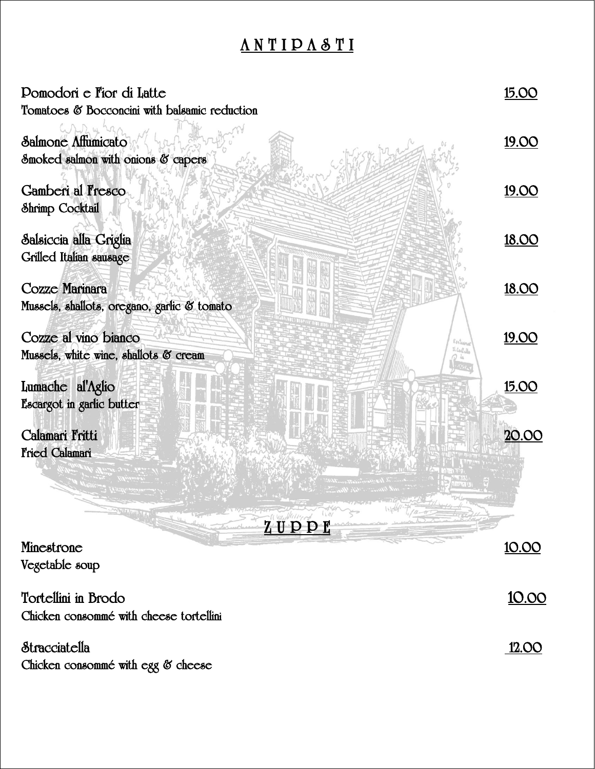# **A N T I P A S T I**

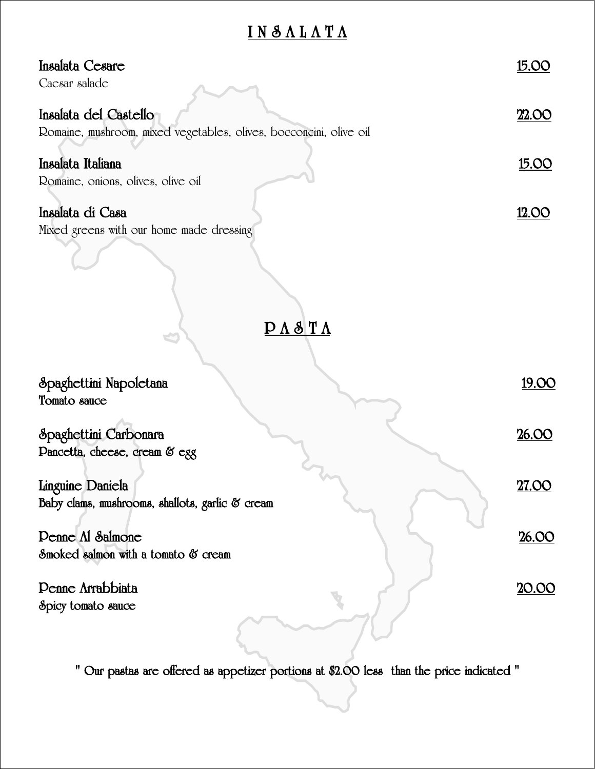# **I N S A L A T A**

| Insalata Cesare<br>Caesar salade                                                            | <u>15.00</u> |
|---------------------------------------------------------------------------------------------|--------------|
| Insalata del Castello<br>Romaine, mushroom, mixed vegetables, olives, bocconcini, olive oil | 22.00        |
|                                                                                             |              |
| Insalata Italiana                                                                           | <u>15.00</u> |
| Romaine, onions, olives, olive oil                                                          |              |
| Insalata di Casa                                                                            | <u>12.OO</u> |
| Mixed greens with our home made dressing                                                    |              |
| $\overline{P} \Lambda \delta T \Lambda$<br>K                                                |              |
| Spaghettini Napoletana                                                                      | 19.OO        |
| Tomato sauce                                                                                |              |
| Spaghettini Carbonara                                                                       | 26.00        |
| Dancetta, cheese, cream & egg                                                               |              |
| Linguine Daniela                                                                            | 27.OO        |
| Baby clams, mushrooms, shallots, garlic & cream                                             |              |
| Denne Al Salmone                                                                            | 26.00        |
| Smoked salmon with a tomato & cream                                                         |              |
| <b>Penne Arrabbiata</b><br>Spicy tomato sauce                                               | <u>20.00</u> |
|                                                                                             |              |

**" Our pastas are offered as appetizer portions at \$2.00 less than the price indicated "**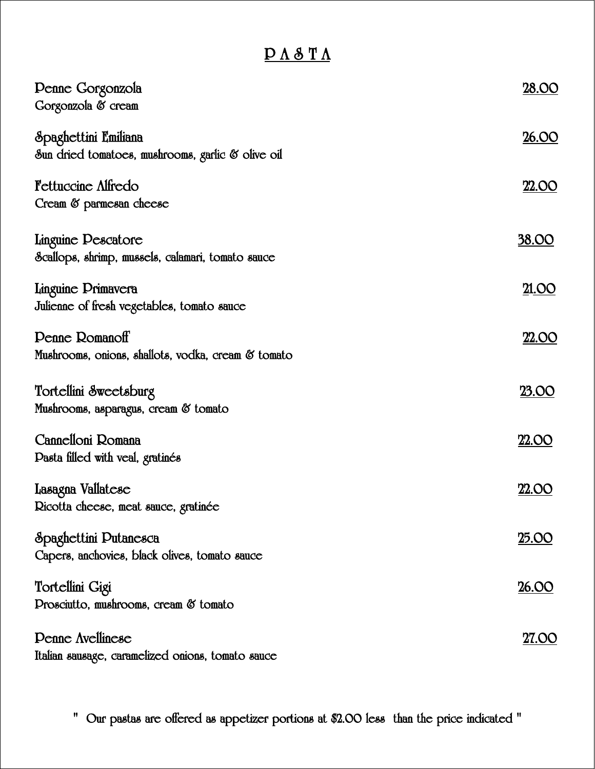### **P A S T A**

| <b>Penne Gorgonzola</b><br>Gorgonzola & cream                                | 28.OO         |
|------------------------------------------------------------------------------|---------------|
| Spaghettini Emiliana<br>Sun dried tomatoes, mushrooms, garlic & olive oil    | 26.00         |
| <b>Fettuccine Alfredo</b><br>Cream & parmesan cheese                         | <b>22.OO</b>  |
| Linguine Descatore<br>Scallops, shrimp, mussels, calamari, tomato sauce      | <u>38.00</u>  |
| Linguine Drimavera<br>Julienne of fresh vegetables, tomato sauce             | 21.OO         |
| <b>Penne Romanoff</b><br>Mushrooms, onions, shallots, vodka, cream & tomato  | 22.OO         |
| Tortellini Sweetsburg<br>Mushrooms, asparagus, cream & tomato                | <u>23.00</u>  |
| Cannelloni Romana<br>Dasta filled with veal, gratinés                        | <u>22.OO</u>  |
| Lasagna Vallatese<br>Ricotta cheese, meat sauce, gratinée                    | <u>22.OO</u>  |
| Spaghettini Putanesca<br>Capers, anchovies, black olives, tomato sauce       | <u> 25.00</u> |
| Tortellini Gigi<br>Drosciutto, mushrooms, cream & tomato                     | <u>26.OO</u>  |
| <b>Penne Avellinese</b><br>Italian sausage, caramelized onions, tomato sauce | 27.OO         |

**" Our pastas are offered as appetizer portions at \$2.00 less than the price indicated "**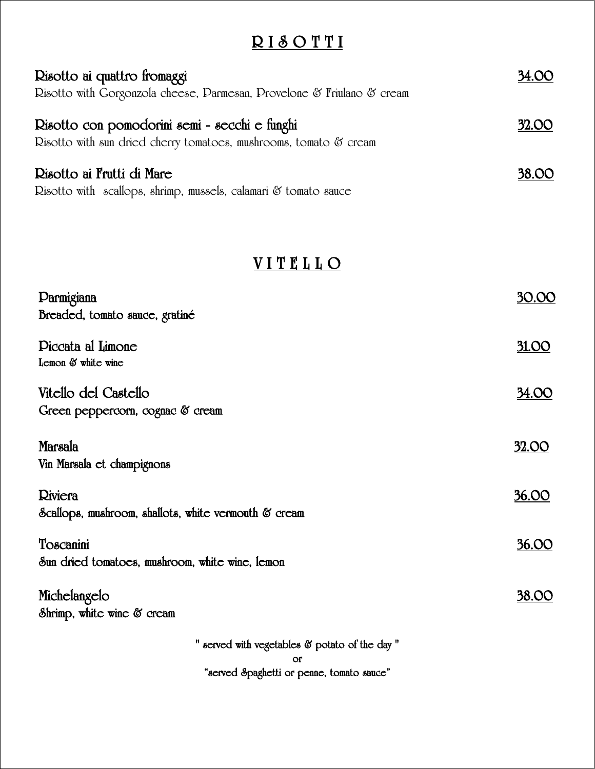# **R I S O T T I**

| Risotto ai quattro fromaggi                                                                                        | 34.OO        |
|--------------------------------------------------------------------------------------------------------------------|--------------|
| Risotto with Gorgonzola cheese, Parmesan, Provelone & Friulano & cream                                             |              |
| Risotto con pomodorini semi - secchi e funghi<br>Risotto with sun dried cherry tomatoes, mushrooms, tomato & cream | <b>32.00</b> |
| Risotto ai Frutti di Mare<br>Risotto with scallops, shrimp, mussels, calamari & tomato sauce                       | <b>38.00</b> |

### **V I T E L L O**

| Darmigiana                                                      | 30.00        |
|-----------------------------------------------------------------|--------------|
| Breaded, tomato sauce, gratiné                                  |              |
| Diccata al Limone<br>Lemon & white wine                         | 31.OO        |
| Vitello del Castello<br>Green peppercorn, cognac & cream        | 34.OO        |
| Marsala<br>Vin Marsala et champignons                           | 32.OO        |
| Riviera<br>Scallops, mushroom, shallots, white vermouth & cream | <u>36.OO</u> |
| Toscanini<br>Sun dried tomatoes, mushroom, white wine, lemon    | 36.OO        |
| Michelangelo<br>Shrimp, white wine & cream                      | 38.OO        |
| " served with vegetables & potato of the day"<br><b>Of</b>      |              |

**"served Spaghetti or penne, tomato sauce"**